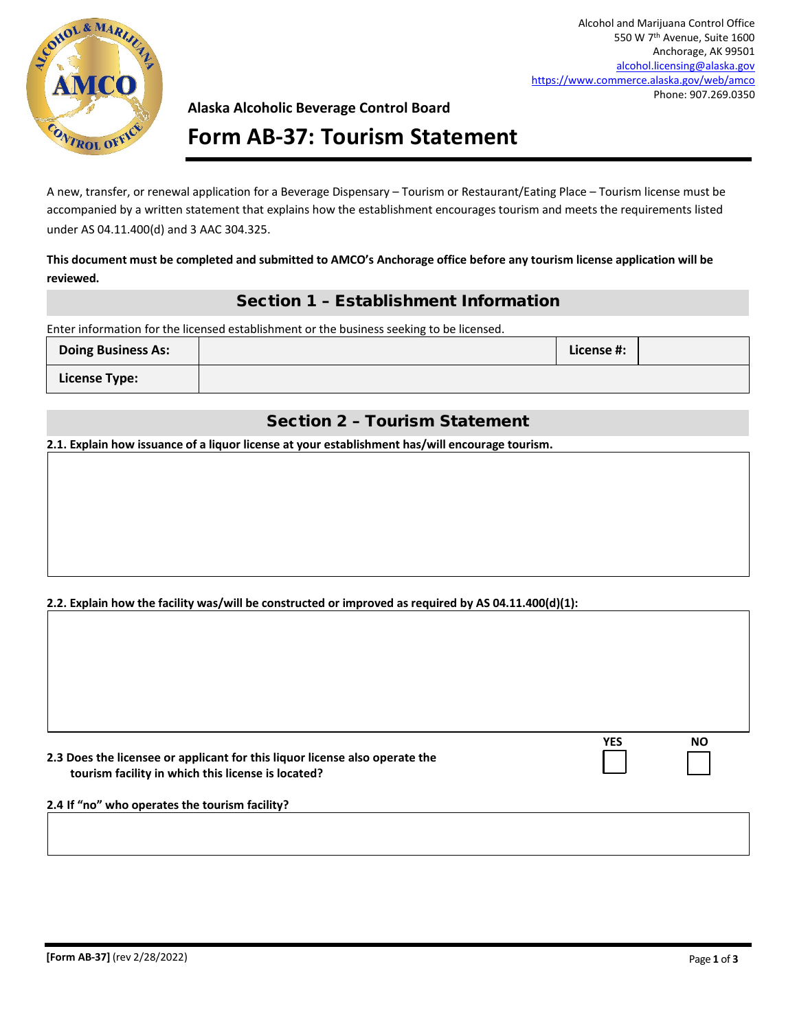

Alcohol and Marijuana Control Office 550 W 7th Avenue, Suite 1600 Anchorage, AK 99501 [alcohol.licensing@alaska.gov](mailto:alcohol.licensing@alaska.gov) <https://www.commerce.alaska.gov/web/amco> Phone: 907.269.0350

### **Alaska Alcoholic Beverage Control Board**

# **Form AB-37: Tourism Statement**

A new, transfer, or renewal application for a Beverage Dispensary – Tourism or Restaurant/Eating Place – Tourism license must be accompanied by a written statement that explains how the establishment encourages tourism and meets the requirements listed under AS 04.11.400(d) and 3 AAC 304.325.

### **This document must be completed and submitted to AMCO's Anchorage office before any tourism license application will be reviewed.**

## Section 1 – Establishment Information

Enter information for the licensed establishment or the business seeking to be licensed.

| <b>Doing Business As:</b> | License #: |  |
|---------------------------|------------|--|
| <b>License Type:</b>      |            |  |

## Section 2 – Tourism Statement

**2.1. Explain how issuance of a liquor license at your establishment has/will encourage tourism.**

### **2.2. Explain how the facility was/will be constructed or improved as required by AS 04.11.400(d)(1):**

| 2.3 Does the licensee or applicant for this liquor license also operate the |
|-----------------------------------------------------------------------------|
| tourism facility in which this license is located?                          |

| YFS | ΝO |
|-----|----|
|     |    |
|     |    |

#### **2.4 If "no" who operates the tourism facility?**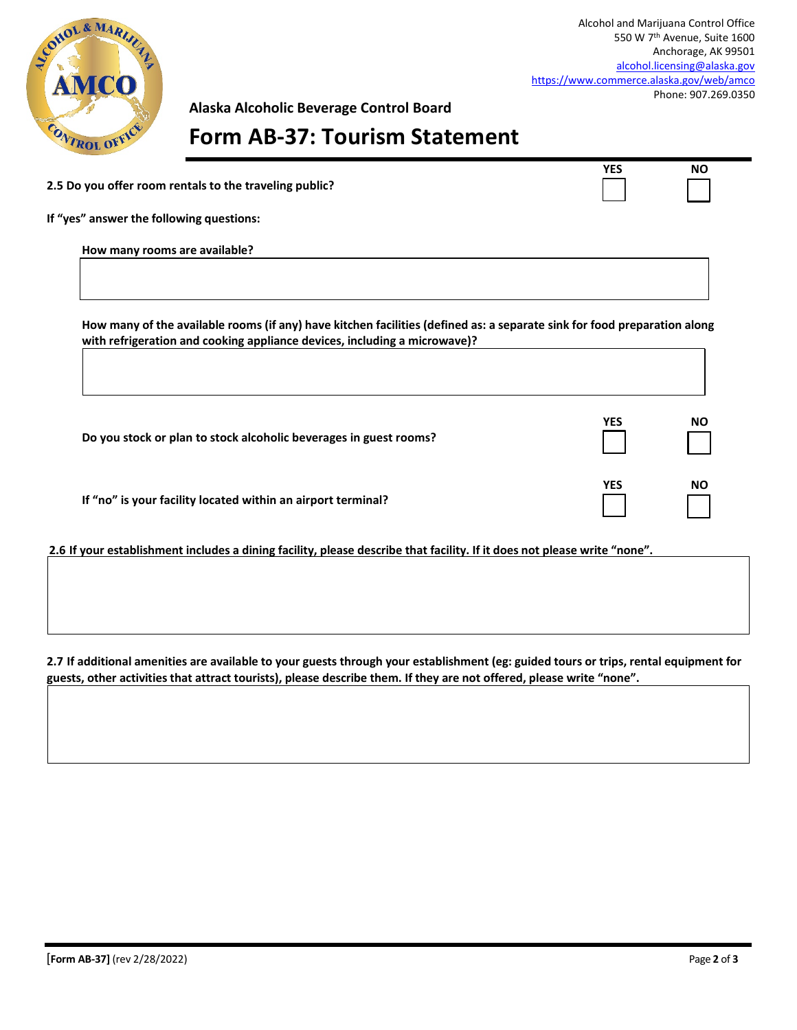

Alcohol and Marijuana Control Office 550 W 7th Avenue, Suite 1600 Anchorage, AK 99501 [alcohol.licensing@alaska.gov](mailto:alcohol.licensing@alaska.gov) <https://www.commerce.alaska.gov/web/amco> Phone: 907.269.0350

**YES NO**

**Alaska Alcoholic Beverage Control Board**

# **Form AB-37: Tourism Statement**

**If "yes" answer the following questions:**

**How many rooms are available?**

**How many of the available rooms (if any) have kitchen facilities (defined as: a separate sink for food preparation along with refrigeration and cooking appliance devices, including a microwave)?** 

| Do you stock or plan to stock alcoholic beverages in guest rooms? | <b>YES</b> | <b>NO</b> |
|-------------------------------------------------------------------|------------|-----------|
| If "no" is your facility located within an airport terminal?      | YES        | <b>NO</b> |

**2.6 If your establishment includes a dining facility, please describe that facility. If it does not please write "none".** 

**2.7 If additional amenities are available to your guests through your establishment (eg: guided tours or trips, rental equipment for guests, other activities that attract tourists), please describe them. If they are not offered, please write "none".**